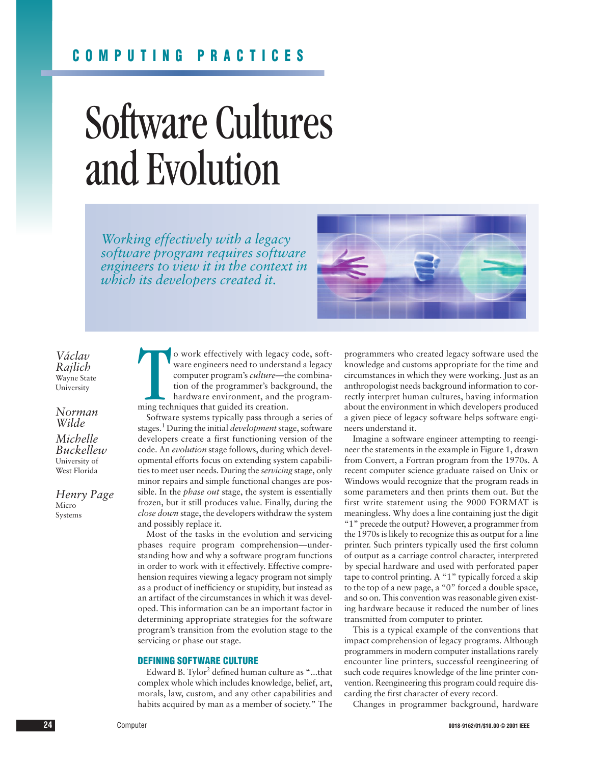# Software Cultures and Evolution

*Working effectively with a legacy software program requires software engineers to view it in the context in which its developers created it.* 



*Václav Rajlich* Wayne State University

# *Norman Wilde*

*Michelle Buckellew* University of West Florida

*Henry Page* Micro Systems

o work effectively with legacy<br>ware engineers need to understa<br>computer program"s *culture*—th<br>tion of the programmer's backg<br>hardware environment, and the<br>ming techniques that guided its creation. o work effectively with legacy code, software engineers need to understand a legacy computer program's *culture*—the combination of the programmer's background, the hardware environment, and the program-

Software systems typically pass through a series of stages.<sup>1</sup> During the initial *development* stage, software developers create a first functioning version of the code. An *evolution* stage follows, during which developmental efforts focus on extending system capabilities to meet user needs. During the *servicing* stage, only minor repairs and simple functional changes are possible. In the *phase out* stage, the system is essentially frozen, but it still produces value. Finally, during the *close down* stage, the developers withdraw the system and possibly replace it.

Most of the tasks in the evolution and servicing phases require program comprehension—understanding how and why a software program functions in order to work with it effectively. Effective comprehension requires viewing a legacy program not simply as a product of inefficiency or stupidity, but instead as an artifact of the circumstances in which it was developed. This information can be an important factor in determining appropriate strategies for the software program's transition from the evolution stage to the servicing or phase out stage.

## **DEFINING SOFTWARE CULTURE**

Edward B. Tylor<sup>2</sup> defined human culture as "...that complex whole which includes knowledge, belief, art, morals, law, custom, and any other capabilities and habits acquired by man as a member of society." The

programmers who created legacy software used the knowledge and customs appropriate for the time and circumstances in which they were working. Just as an anthropologist needs background information to correctly interpret human cultures, having information about the environment in which developers produced a given piece of legacy software helps software engineers understand it.

Imagine a software engineer attempting to reengineer the statements in the example in Figure 1, drawn from Convert, a Fortran program from the 1970s. A recent computer science graduate raised on Unix or Windows would recognize that the program reads in some parameters and then prints them out. But the first write statement using the 9000 FORMAT is meaningless. Why does a line containing just the digit "1" precede the output? However, a programmer from the 1970s is likely to recognize this as output for a line printer. Such printers typically used the first column of output as a carriage control character, interpreted by special hardware and used with perforated paper tape to control printing. A "1" typically forced a skip to the top of a new page, a "0" forced a double space, and so on. This convention was reasonable given existing hardware because it reduced the number of lines transmitted from computer to printer.

This is a typical example of the conventions that impact comprehension of legacy programs. Although programmers in modern computer installations rarely encounter line printers, successful reengineering of such code requires knowledge of the line printer convention. Reengineering this program could require discarding the first character of every record.

Changes in programmer background, hardware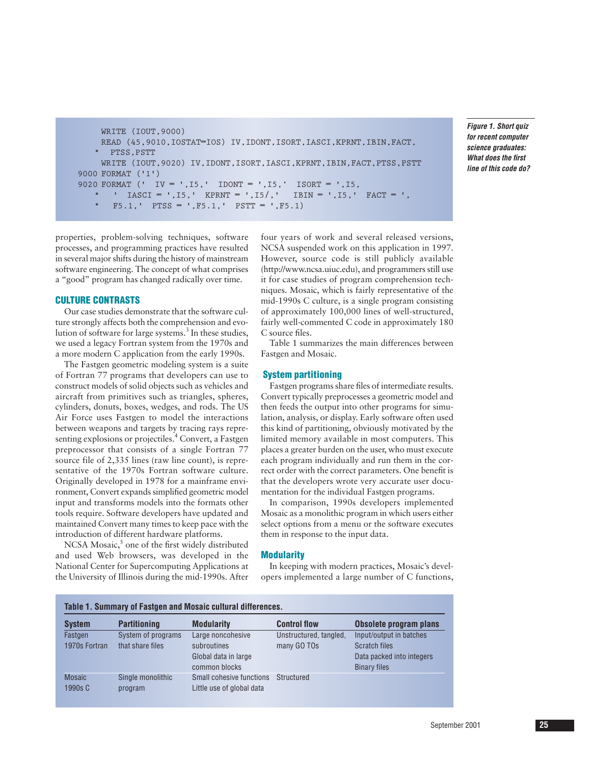```
WRITE (IOUT,9000)
    READ (45,9010,IOSTAT=IOS) IV,IDONT,ISORT,IASCI,KPRNT,IBIN,FACT,
     * PTSS,PSTT
    WRITE (IOUT,9020) IV,IDONT,ISORT,IASCI,KPRNT,IBIN,FACT,PTSS,PSTT
9000 FORMAT ('1') 
9020 FORMAT (' IV = ',I5,' IDONT = ',I5,' ISORT = ',I5,
   * ' IASCI = ',I5,' KPRNT = ',I5/,' IBIN = ',I5,' FACT = ',
       * F5.1,' PTSS = ',F5.1,' PSTT = ',F5.1)
```
*Figure 1. Short quiz for recent computer science graduates: What does the first line of this code do?*

properties, problem-solving techniques, software processes, and programming practices have resulted in several major shifts during the history of mainstream software engineering. The concept of what comprises a "good" program has changed radically over time.

# **CULTURE CONTRASTS**

Our case studies demonstrate that the software culture strongly affects both the comprehension and evolution of software for large systems.<sup>3</sup> In these studies, we used a legacy Fortran system from the 1970s and a more modern C application from the early 1990s.

The Fastgen geometric modeling system is a suite of Fortran 77 programs that developers can use to construct models of solid objects such as vehicles and aircraft from primitives such as triangles, spheres, cylinders, donuts, boxes, wedges, and rods. The US Air Force uses Fastgen to model the interactions between weapons and targets by tracing rays representing explosions or projectiles.<sup>4</sup> Convert, a Fastgen preprocessor that consists of a single Fortran 77 source file of 2,335 lines (raw line count), is representative of the 1970s Fortran software culture. Originally developed in 1978 for a mainframe environment, Convert expands simplified geometric model input and transforms models into the formats other tools require. Software developers have updated and maintained Convert many times to keep pace with the introduction of different hardware platforms.

NCSA Mosaic, $<sup>5</sup>$  one of the first widely distributed</sup> and used Web browsers, was developed in the National Center for Supercomputing Applications at the University of Illinois during the mid-1990s. After

four years of work and several released versions, NCSA suspended work on this application in 1997. However, source code is still publicly available (http://www.ncsa.uiuc.edu), and programmers still use it for case studies of program comprehension techniques. Mosaic, which is fairly representative of the mid-1990s C culture, is a single program consisting of approximately 100,000 lines of well-structured, fairly well-commented C code in approximately 180 C source files.

Table 1 summarizes the main differences between Fastgen and Mosaic.

#### **System partitioning**

Fastgen programs share files of intermediate results. Convert typically preprocesses a geometric model and then feeds the output into other programs for simulation, analysis, or display. Early software often used this kind of partitioning, obviously motivated by the limited memory available in most computers. This places a greater burden on the user, who must execute each program individually and run them in the correct order with the correct parameters. One benefit is that the developers wrote very accurate user documentation for the individual Fastgen programs.

In comparison, 1990s developers implemented Mosaic as a monolithic program in which users either select options from a menu or the software executes them in response to the input data.

#### **Modularity**

In keeping with modern practices, Mosaic's developers implemented a large number of C functions,

| Table 1. Summary of Fastgen and Mosaic cultural differences. |                                        |                                                                           |                                       |                                                                                                     |
|--------------------------------------------------------------|----------------------------------------|---------------------------------------------------------------------------|---------------------------------------|-----------------------------------------------------------------------------------------------------|
| <b>System</b>                                                | <b>Partitioning</b>                    | <b>Modularity</b>                                                         | <b>Control flow</b>                   | Obsolete program plans                                                                              |
| Fastgen<br>1970s Fortran                                     | System of programs<br>that share files | Large noncohesive<br>subroutines<br>Global data in large<br>common blocks | Unstructured, tangled,<br>many GO TOs | Input/output in batches<br><b>Scratch files</b><br>Data packed into integers<br><b>Binary files</b> |
| <b>Mosaic</b><br>1990s C                                     | Single monolithic<br>program           | Small cohesive functions<br>Little use of global data                     | Structured                            |                                                                                                     |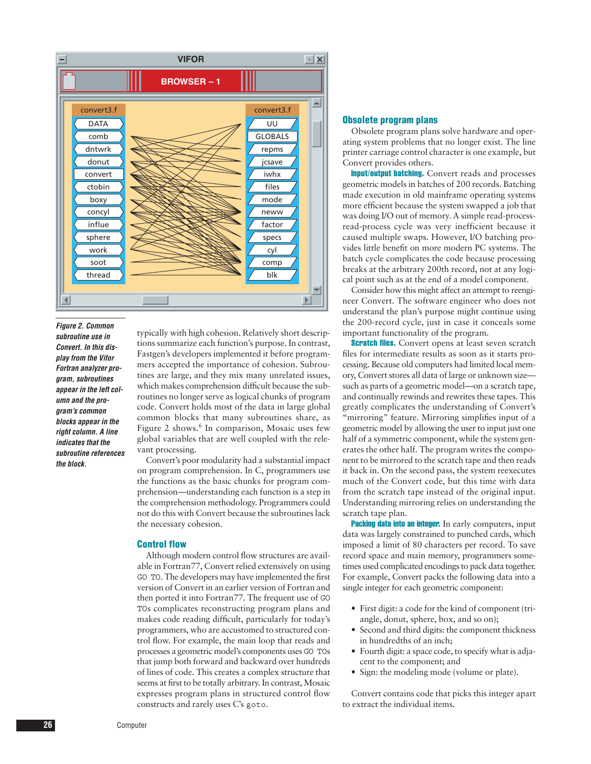

## *Figure 2. Common subroutine use in Convert. In this display from the Vifor Fortran analyzer program, subroutines appear in the left column and the program's common blocks appear in the right column. A line indicates that the subroutine references the block.*

typically with high cohesion. Relatively short descriptions summarize each function's purpose. In contrast, Fastgen's developers implemented it before programmers accepted the importance of cohesion. Subroutines are large, and they mix many unrelated issues, which makes comprehension difficult because the subroutines no longer serve as logical chunks of program code. Convert holds most of the data in large global common blocks that many subroutines share, as Figure 2 shows.<sup>6</sup> In comparison, Mosaic uses few global variables that are well coupled with the relevant processing.

Convert's poor modularity had a substantial impact on program comprehension. In C, programmers use the functions as the basic chunks for program comprehension—understanding each function is a step in the comprehension methodology. Programmers could not do this with Convert because the subroutines lack the necessary cohesion.

#### **Control flow**

Although modern control flow structures are available in Fortran77, Convert relied extensively on using **GO TO**. The developers may have implemented the first version of Convert in an earlier version of Fortran and then ported it into Fortran77. The frequent use of **GO TO**s complicates reconstructing program plans and makes code reading difficult, particularly for today's programmers, who are accustomed to structured control flow. For example, the main loop that reads and processes a geometric model's components uses **GO TO**s that jump both forward and backward over hundreds of lines of code. This creates a complex structure that seems at first to be totally arbitrary. In contrast, Mosaic expresses program plans in structured control flow constructs and rarely uses C's **goto**.

#### **Obsolete program plans**

Obsolete program plans solve hardware and operating system problems that no longer exist. The line printer carriage control character is one example, but Convert provides others.

Input/output batching. Convert reads and processes geometric models in batches of 200 records. Batching made execution in old mainframe operating systems more efficient because the system swapped a job that was doing I/O out of memory. A simple read-processread-process cycle was very inefficient because it caused multiple swaps. However, I/O batching provides little benefit on more modern PC systems. The batch cycle complicates the code because processing breaks at the arbitrary 200th record, not at any logical point such as at the end of a model component.

Consider how this might affect an attempt to reengineer Convert. The software engineer who does not understand the plan's purpose might continue using the 200-record cycle, just in case it conceals some important functionality of the program.

**Scratch files.** Convert opens at least seven scratch files for intermediate results as soon as it starts processing. Because old computers had limited local memory, Convert stores all data of large or unknown size such as parts of a geometric model—on a scratch tape, and continually rewinds and rewrites these tapes. This greatly complicates the understanding of Convert's "mirroring" feature. Mirroring simplifies input of a geometric model by allowing the user to input just one half of a symmetric component, while the system generates the other half. The program writes the component to be mirrored to the scratch tape and then reads it back in. On the second pass, the system reexecutes much of the Convert code, but this time with data from the scratch tape instead of the original input. Understanding mirroring relies on understanding the scratch tape plan.

Packing data into an integer. In early computers, input data was largely constrained to punched cards, which imposed a limit of 80 characters per record. To save record space and main memory, programmers sometimes used complicated encodings to pack data together. For example, Convert packs the following data into a single integer for each geometric component:

- First digit: a code for the kind of component (triangle, donut, sphere, box, and so on);
- Second and third digits: the component thickness in hundredths of an inch;
- Fourth digit: a space code, to specify what is adjacent to the component; and
- Sign: the modeling mode (volume or plate).

Convert contains code that picks this integer apart to extract the individual items.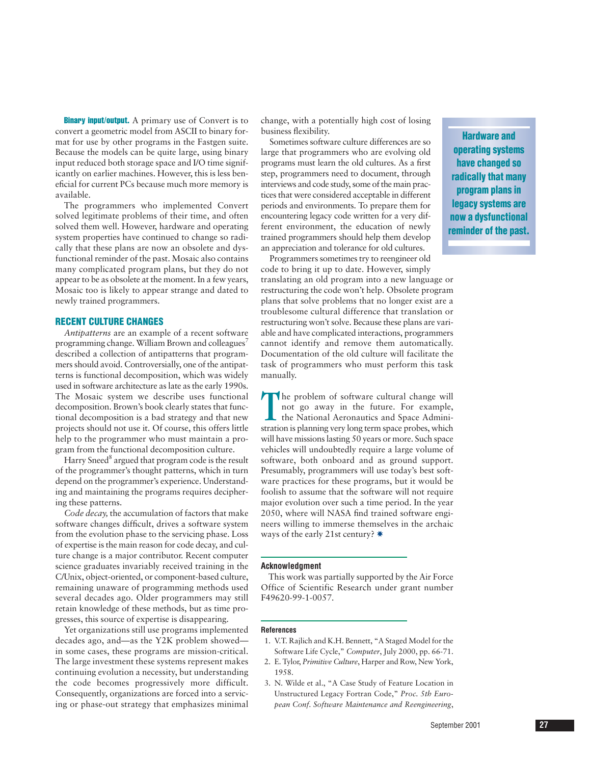**Binary input/output.** A primary use of Convert is to convert a geometric model from ASCII to binary format for use by other programs in the Fastgen suite. Because the models can be quite large, using binary input reduced both storage space and I/O time significantly on earlier machines. However, this is less beneficial for current PCs because much more memory is available.

The programmers who implemented Convert solved legitimate problems of their time, and often solved them well. However, hardware and operating system properties have continued to change so radically that these plans are now an obsolete and dysfunctional reminder of the past. Mosaic also contains many complicated program plans, but they do not appear to be as obsolete at the moment. In a few years, Mosaic too is likely to appear strange and dated to newly trained programmers.

## **RECENT CULTURE CHANGES**

*Antipatterns* are an example of a recent software programming change. William Brown and colleagues $^7$ described a collection of antipatterns that programmers should avoid. Controversially, one of the antipatterns is functional decomposition, which was widely used in software architecture as late as the early 1990s. The Mosaic system we describe uses functional decomposition. Brown's book clearly states that functional decomposition is a bad strategy and that new projects should not use it. Of course, this offers little help to the programmer who must maintain a program from the functional decomposition culture.

Harry Sneed<sup>8</sup> argued that program code is the result of the programmer's thought patterns, which in turn depend on the programmer's experience. Understanding and maintaining the programs requires deciphering these patterns.

*Code decay,* the accumulation of factors that make software changes difficult, drives a software system from the evolution phase to the servicing phase. Loss of expertise is the main reason for code decay, and culture change is a major contributor. Recent computer science graduates invariably received training in the C/Unix, object-oriented, or component-based culture, remaining unaware of programming methods used several decades ago. Older programmers may still retain knowledge of these methods, but as time progresses, this source of expertise is disappearing.

Yet organizations still use programs implemented decades ago, and—as the Y2K problem showed in some cases, these programs are mission-critical. The large investment these systems represent makes continuing evolution a necessity, but understanding the code becomes progressively more difficult. Consequently, organizations are forced into a servicing or phase-out strategy that emphasizes minimal change, with a potentially high cost of losing business flexibility.

Sometimes software culture differences are so large that programmers who are evolving old programs must learn the old cultures. As a first step, programmers need to document, through interviews and code study, some of the main practices that were considered acceptable in different periods and environments. To prepare them for encountering legacy code written for a very different environment, the education of newly trained programmers should help them develop an appreciation and tolerance for old cultures.

Programmers sometimes try to reengineer old code to bring it up to date. However, simply translating an old program into a new language or restructuring the code won't help. Obsolete program plans that solve problems that no longer exist are a troublesome cultural difference that translation or restructuring won't solve. Because these plans are variable and have complicated interactions, programmers cannot identify and remove them automatically. Documentation of the old culture will facilitate the task of programmers who must perform this task manually.

The problem of software cultural change will<br>not go away in the future. For example,<br>the National Aeronautics and Space Admini-<br>stration is planning very long term space probes, which he problem of software cultural change will not go away in the future. For example, the National Aeronautics and Space Adminiwill have missions lasting 50 years or more. Such space vehicles will undoubtedly require a large volume of software, both onboard and as ground support. Presumably, programmers will use today's best software practices for these programs, but it would be foolish to assume that the software will not require major evolution over such a time period. In the year 2050, where will NASA find trained software engineers willing to immerse themselves in the archaic ways of the early 21st century?  $*$ 

#### **Acknowledgment**

This work was partially supported by the Air Force Office of Scientific Research under grant number F49620-99-1-0057.

#### **References**

- 1. V.T. Rajlich and K.H. Bennett, "A Staged Model for the Software Life Cycle," *Computer*, July 2000, pp. 66-71.
- 2. E. Tylor, *Primitive Culture*, Harper and Row, New York, 1958.
- 3. N. Wilde et al., "A Case Study of Feature Location in Unstructured Legacy Fortran Code," *Proc. 5th European Conf. Software Maintenance and Reengineering*,

**Hardware and operating systems have changed so radically that many program plans in legacy systems are now a dysfunctional reminder of the past.**